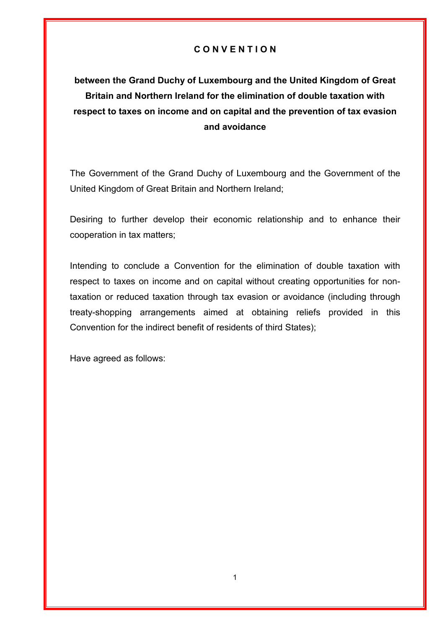### **C O N V E N T I O N**

# **between the Grand Duchy of Luxembourg and the United Kingdom of Great Britain and Northern Ireland for the elimination of double taxation with respect to taxes on income and on capital and the prevention of tax evasion and avoidance**

The Government of the Grand Duchy of Luxembourg and the Government of the United Kingdom of Great Britain and Northern Ireland;

Desiring to further develop their economic relationship and to enhance their cooperation in tax matters;

Intending to conclude a Convention for the elimination of double taxation with respect to taxes on income and on capital without creating opportunities for nontaxation or reduced taxation through tax evasion or avoidance (including through treaty-shopping arrangements aimed at obtaining reliefs provided in this Convention for the indirect benefit of residents of third States);

Have agreed as follows: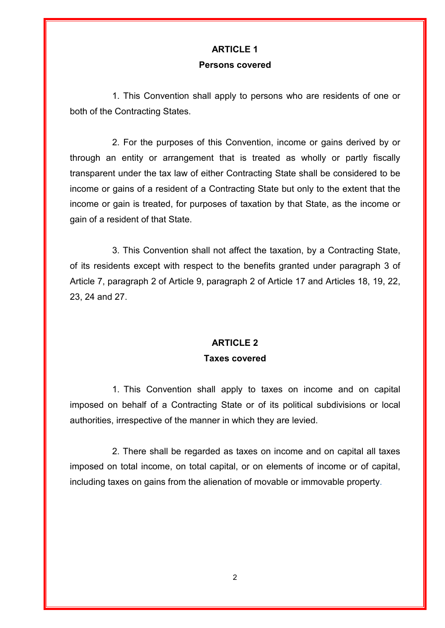### **Persons covered**

1. This Convention shall apply to persons who are residents of one or both of the Contracting States.

2. For the purposes of this Convention, income or gains derived by or through an entity or arrangement that is treated as wholly or partly fiscally transparent under the tax law of either Contracting State shall be considered to be income or gains of a resident of a Contracting State but only to the extent that the income or gain is treated, for purposes of taxation by that State, as the income or gain of a resident of that State.

3. This Convention shall not affect the taxation, by a Contracting State, of its residents except with respect to the benefits granted under paragraph 3 of Article 7, paragraph 2 of Article 9, paragraph 2 of Article 17 and Articles 18, 19, 22, 23, 24 and 27.

# **ARTICLE 2**

### **Taxes covered**

1. This Convention shall apply to taxes on income and on capital imposed on behalf of a Contracting State or of its political subdivisions or local authorities, irrespective of the manner in which they are levied.

2. There shall be regarded as taxes on income and on capital all taxes imposed on total income, on total capital, or on elements of income or of capital, including taxes on gains from the alienation of movable or immovable property.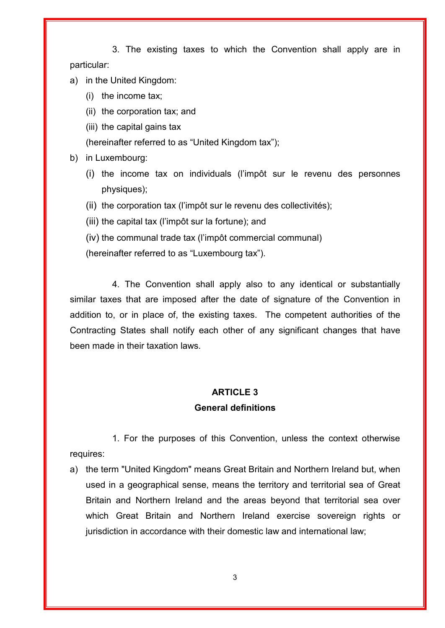3. The existing taxes to which the Convention shall apply are in particular:

- a) in the United Kingdom:
	- (i) the income tax;
	- (ii) the corporation tax; and
	- (iii) the capital gains tax

(hereinafter referred to as "United Kingdom tax");

- b) in Luxembourg:
	- (i) the income tax on individuals (l'impôt sur le revenu des personnes physiques);
	- (ii) the corporation tax (l'impôt sur le revenu des collectivités);
	- (iii) the capital tax (l'impôt sur la fortune); and
	- (iv) the communal trade tax (l'impôt commercial communal)

(hereinafter referred to as "Luxembourg tax").

4. The Convention shall apply also to any identical or substantially similar taxes that are imposed after the date of signature of the Convention in addition to, or in place of, the existing taxes. The competent authorities of the Contracting States shall notify each other of any significant changes that have been made in their taxation laws.

### **ARTICLE 3**

### **General definitions**

1. For the purposes of this Convention, unless the context otherwise requires:

a) the term "United Kingdom" means Great Britain and Northern Ireland but, when used in a geographical sense, means the territory and territorial sea of Great Britain and Northern Ireland and the areas beyond that territorial sea over which Great Britain and Northern Ireland exercise sovereign rights or jurisdiction in accordance with their domestic law and international law;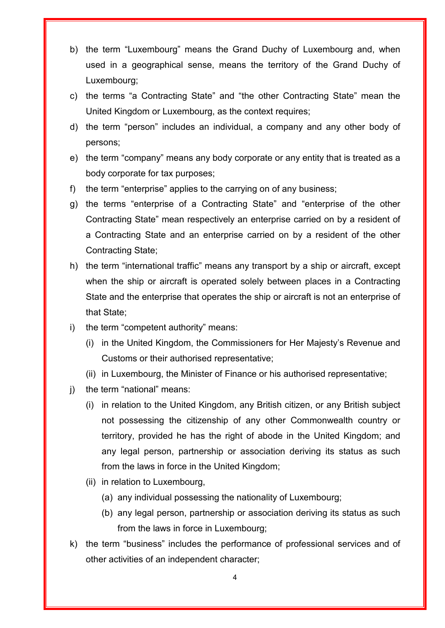- b) the term "Luxembourg" means the Grand Duchy of Luxembourg and, when used in a geographical sense, means the territory of the Grand Duchy of Luxembourg;
- c) the terms "a Contracting State" and "the other Contracting State" mean the United Kingdom or Luxembourg, as the context requires;
- d) the term "person" includes an individual, a company and any other body of persons;
- e) the term "company" means any body corporate or any entity that is treated as a body corporate for tax purposes;
- f) the term "enterprise" applies to the carrying on of any business;
- g) the terms "enterprise of a Contracting State" and "enterprise of the other Contracting State" mean respectively an enterprise carried on by a resident of a Contracting State and an enterprise carried on by a resident of the other Contracting State;
- h) the term "international traffic" means any transport by a ship or aircraft, except when the ship or aircraft is operated solely between places in a Contracting State and the enterprise that operates the ship or aircraft is not an enterprise of that State;
- i) the term "competent authority" means:
	- (i) in the United Kingdom, the Commissioners for Her Majesty's Revenue and Customs or their authorised representative;
	- (ii) in Luxembourg, the Minister of Finance or his authorised representative;
- j) the term "national" means:
	- (i) in relation to the United Kingdom, any British citizen, or any British subject not possessing the citizenship of any other Commonwealth country or territory, provided he has the right of abode in the United Kingdom; and any legal person, partnership or association deriving its status as such from the laws in force in the United Kingdom;
	- (ii) in relation to Luxembourg,
		- (a) any individual possessing the nationality of Luxembourg;
		- (b) any legal person, partnership or association deriving its status as such from the laws in force in Luxembourg;
- k) the term "business" includes the performance of professional services and of other activities of an independent character;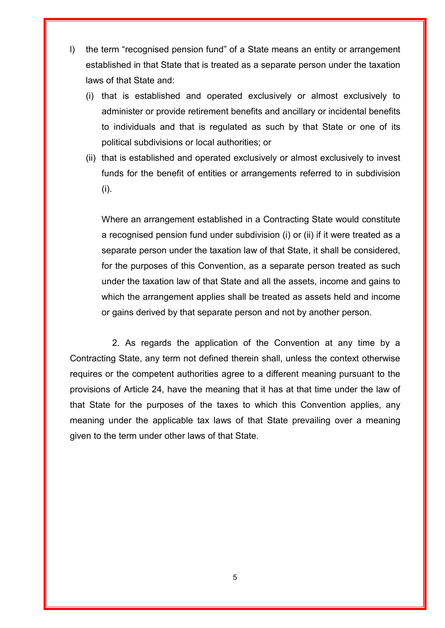- l) the term "recognised pension fund" of a State means an entity or arrangement established in that State that is treated as a separate person under the taxation laws of that State and:
	- (i) that is established and operated exclusively or almost exclusively to administer or provide retirement benefits and ancillary or incidental benefits to individuals and that is regulated as such by that State or one of its political subdivisions or local authorities; or
	- (ii) that is established and operated exclusively or almost exclusively to invest funds for the benefit of entities or arrangements referred to in subdivision (i).

Where an arrangement established in a Contracting State would constitute a recognised pension fund under subdivision (i) or (ii) if it were treated as a separate person under the taxation law of that State, it shall be considered, for the purposes of this Convention, as a separate person treated as such under the taxation law of that State and all the assets, income and gains to which the arrangement applies shall be treated as assets held and income or gains derived by that separate person and not by another person.

2. As regards the application of the Convention at any time by a Contracting State, any term not defined therein shall, unless the context otherwise requires or the competent authorities agree to a different meaning pursuant to the provisions of Article 24, have the meaning that it has at that time under the law of that State for the purposes of the taxes to which this Convention applies, any meaning under the applicable tax laws of that State prevailing over a meaning given to the term under other laws of that State.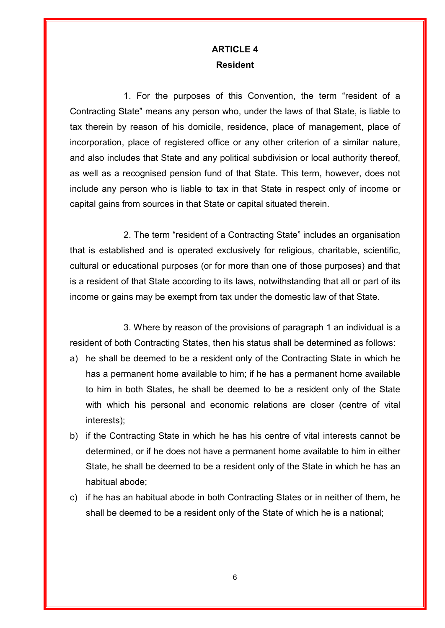### **ARTICLE 4 Resident**

1. For the purposes of this Convention, the term "resident of a Contracting State" means any person who, under the laws of that State, is liable to tax therein by reason of his domicile, residence, place of management, place of incorporation, place of registered office or any other criterion of a similar nature, and also includes that State and any political subdivision or local authority thereof, as well as a recognised pension fund of that State. This term, however, does not include any person who is liable to tax in that State in respect only of income or capital gains from sources in that State or capital situated therein.

2. The term "resident of a Contracting State" includes an organisation that is established and is operated exclusively for religious, charitable, scientific, cultural or educational purposes (or for more than one of those purposes) and that is a resident of that State according to its laws, notwithstanding that all or part of its income or gains may be exempt from tax under the domestic law of that State.

3. Where by reason of the provisions of paragraph 1 an individual is a resident of both Contracting States, then his status shall be determined as follows:

- a) he shall be deemed to be a resident only of the Contracting State in which he has a permanent home available to him; if he has a permanent home available to him in both States, he shall be deemed to be a resident only of the State with which his personal and economic relations are closer (centre of vital interests);
- b) if the Contracting State in which he has his centre of vital interests cannot be determined, or if he does not have a permanent home available to him in either State, he shall be deemed to be a resident only of the State in which he has an habitual abode;
- c) if he has an habitual abode in both Contracting States or in neither of them, he shall be deemed to be a resident only of the State of which he is a national;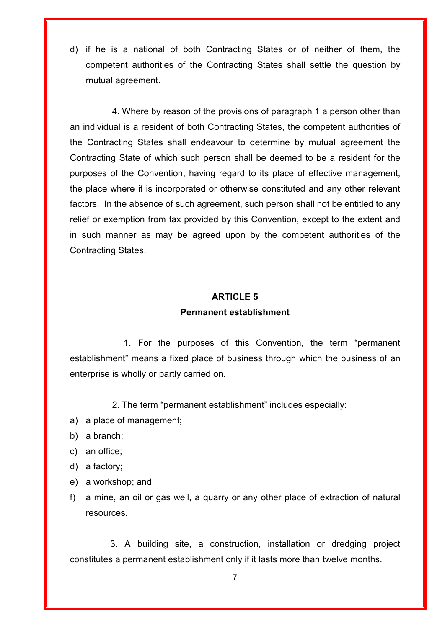d) if he is a national of both Contracting States or of neither of them, the competent authorities of the Contracting States shall settle the question by mutual agreement.

4. Where by reason of the provisions of paragraph 1 a person other than an individual is a resident of both Contracting States, the competent authorities of the Contracting States shall endeavour to determine by mutual agreement the Contracting State of which such person shall be deemed to be a resident for the purposes of the Convention, having regard to its place of effective management, the place where it is incorporated or otherwise constituted and any other relevant factors. In the absence of such agreement, such person shall not be entitled to any relief or exemption from tax provided by this Convention, except to the extent and in such manner as may be agreed upon by the competent authorities of the Contracting States.

### **ARTICLE 5**

### **Permanent establishment**

1. For the purposes of this Convention, the term "permanent establishment" means a fixed place of business through which the business of an enterprise is wholly or partly carried on.

2. The term "permanent establishment" includes especially:

- a) a place of management;
- b) a branch;
- c) an office;
- d) a factory;
- e) a workshop; and
- f) a mine, an oil or gas well, a quarry or any other place of extraction of natural resources.

3. A building site, a construction, installation or dredging project constitutes a permanent establishment only if it lasts more than twelve months.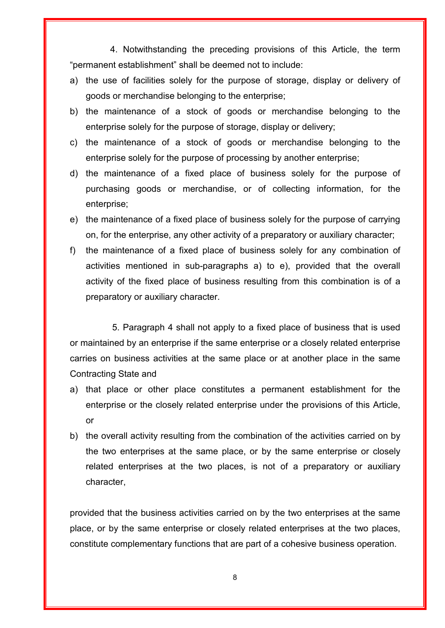4. Notwithstanding the preceding provisions of this Article, the term "permanent establishment" shall be deemed not to include:

- a) the use of facilities solely for the purpose of storage, display or delivery of goods or merchandise belonging to the enterprise;
- b) the maintenance of a stock of goods or merchandise belonging to the enterprise solely for the purpose of storage, display or delivery;
- c) the maintenance of a stock of goods or merchandise belonging to the enterprise solely for the purpose of processing by another enterprise;
- d) the maintenance of a fixed place of business solely for the purpose of purchasing goods or merchandise, or of collecting information, for the enterprise;
- e) the maintenance of a fixed place of business solely for the purpose of carrying on, for the enterprise, any other activity of a preparatory or auxiliary character;
- f) the maintenance of a fixed place of business solely for any combination of activities mentioned in sub-paragraphs a) to e), provided that the overall activity of the fixed place of business resulting from this combination is of a preparatory or auxiliary character.

5. Paragraph 4 shall not apply to a fixed place of business that is used or maintained by an enterprise if the same enterprise or a closely related enterprise carries on business activities at the same place or at another place in the same Contracting State and

- a) that place or other place constitutes a permanent establishment for the enterprise or the closely related enterprise under the provisions of this Article, or
- b) the overall activity resulting from the combination of the activities carried on by the two enterprises at the same place, or by the same enterprise or closely related enterprises at the two places, is not of a preparatory or auxiliary character,

provided that the business activities carried on by the two enterprises at the same place, or by the same enterprise or closely related enterprises at the two places, constitute complementary functions that are part of a cohesive business operation.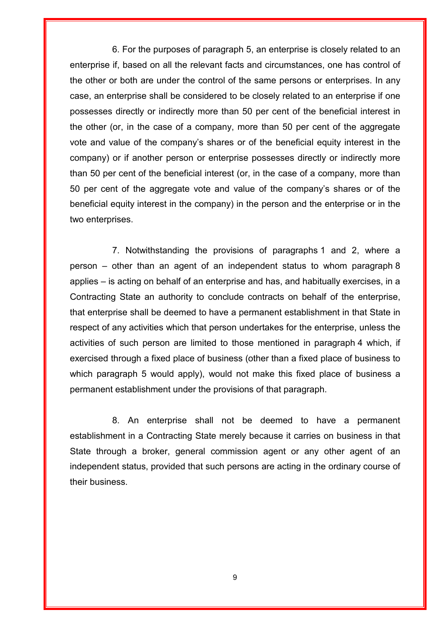6. For the purposes of paragraph 5, an enterprise is closely related to an enterprise if, based on all the relevant facts and circumstances, one has control of the other or both are under the control of the same persons or enterprises. In any case, an enterprise shall be considered to be closely related to an enterprise if one possesses directly or indirectly more than 50 per cent of the beneficial interest in the other (or, in the case of a company, more than 50 per cent of the aggregate vote and value of the company's shares or of the beneficial equity interest in the company) or if another person or enterprise possesses directly or indirectly more than 50 per cent of the beneficial interest (or, in the case of a company, more than 50 per cent of the aggregate vote and value of the company's shares or of the beneficial equity interest in the company) in the person and the enterprise or in the two enterprises.

7. Notwithstanding the provisions of paragraphs 1 and 2, where a person – other than an agent of an independent status to whom paragraph 8 applies – is acting on behalf of an enterprise and has, and habitually exercises, in a Contracting State an authority to conclude contracts on behalf of the enterprise, that enterprise shall be deemed to have a permanent establishment in that State in respect of any activities which that person undertakes for the enterprise, unless the activities of such person are limited to those mentioned in paragraph 4 which, if exercised through a fixed place of business (other than a fixed place of business to which paragraph 5 would apply), would not make this fixed place of business a permanent establishment under the provisions of that paragraph.

8. An enterprise shall not be deemed to have a permanent establishment in a Contracting State merely because it carries on business in that State through a broker, general commission agent or any other agent of an independent status, provided that such persons are acting in the ordinary course of their business.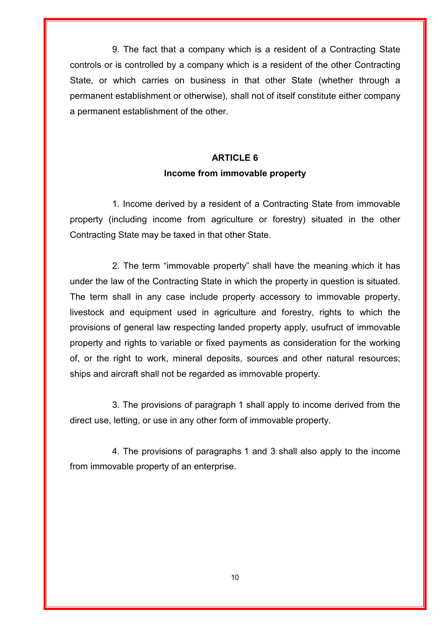9. The fact that a company which is a resident of a Contracting State controls or is controlled by a company which is a resident of the other Contracting State, or which carries on business in that other State (whether through a permanent establishment or otherwise), shall not of itself constitute either company a permanent establishment of the other.

### **ARTICLE 6**

### **Income from immovable property**

1. Income derived by a resident of a Contracting State from immovable property (including income from agriculture or forestry) situated in the other Contracting State may be taxed in that other State.

2. The term "immovable property" shall have the meaning which it has under the law of the Contracting State in which the property in question is situated. The term shall in any case include property accessory to immovable property, livestock and equipment used in agriculture and forestry, rights to which the provisions of general law respecting landed property apply, usufruct of immovable property and rights to variable or fixed payments as consideration for the working of, or the right to work, mineral deposits, sources and other natural resources; ships and aircraft shall not be regarded as immovable property.

3. The provisions of paragraph 1 shall apply to income derived from the direct use, letting, or use in any other form of immovable property.

4. The provisions of paragraphs 1 and 3 shall also apply to the income from immovable property of an enterprise.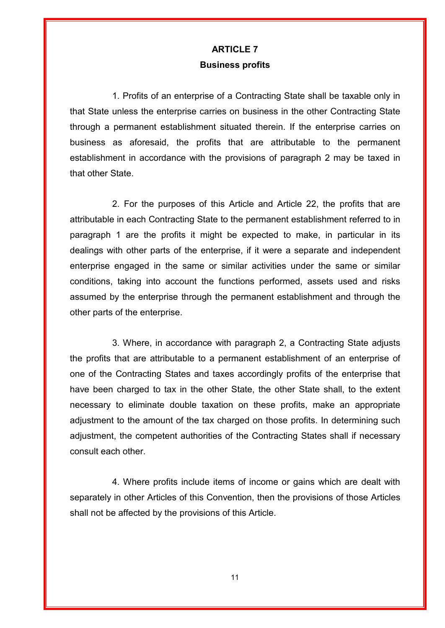#### **Business profits**

1. Profits of an enterprise of a Contracting State shall be taxable only in that State unless the enterprise carries on business in the other Contracting State through a permanent establishment situated therein. If the enterprise carries on business as aforesaid, the profits that are attributable to the permanent establishment in accordance with the provisions of paragraph 2 may be taxed in that other State.

2. For the purposes of this Article and Article 22, the profits that are attributable in each Contracting State to the permanent establishment referred to in paragraph 1 are the profits it might be expected to make, in particular in its dealings with other parts of the enterprise, if it were a separate and independent enterprise engaged in the same or similar activities under the same or similar conditions, taking into account the functions performed, assets used and risks assumed by the enterprise through the permanent establishment and through the other parts of the enterprise.

3. Where, in accordance with paragraph 2, a Contracting State adjusts the profits that are attributable to a permanent establishment of an enterprise of one of the Contracting States and taxes accordingly profits of the enterprise that have been charged to tax in the other State, the other State shall, to the extent necessary to eliminate double taxation on these profits, make an appropriate adjustment to the amount of the tax charged on those profits. In determining such adjustment, the competent authorities of the Contracting States shall if necessary consult each other.

4. Where profits include items of income or gains which are dealt with separately in other Articles of this Convention, then the provisions of those Articles shall not be affected by the provisions of this Article.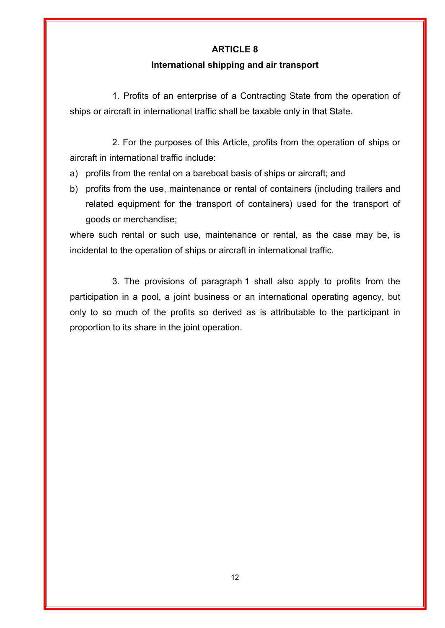### **International shipping and air transport**

1. Profits of an enterprise of a Contracting State from the operation of ships or aircraft in international traffic shall be taxable only in that State.

2. For the purposes of this Article, profits from the operation of ships or aircraft in international traffic include:

- a) profits from the rental on a bareboat basis of ships or aircraft; and
- b) profits from the use, maintenance or rental of containers (including trailers and related equipment for the transport of containers) used for the transport of goods or merchandise;

where such rental or such use, maintenance or rental, as the case may be, is incidental to the operation of ships or aircraft in international traffic.

3. The provisions of paragraph 1 shall also apply to profits from the participation in a pool, a joint business or an international operating agency, but only to so much of the profits so derived as is attributable to the participant in proportion to its share in the joint operation.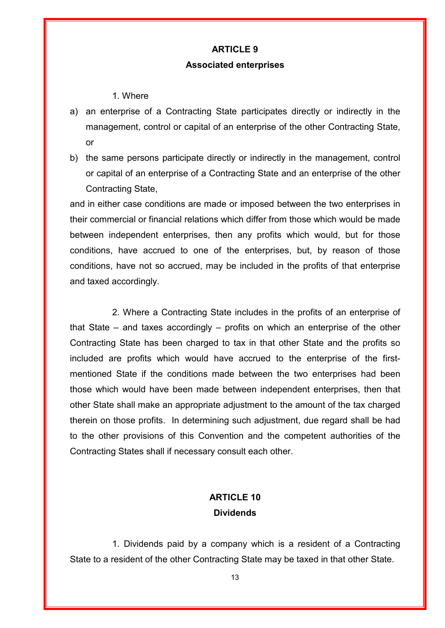#### **Associated enterprises**

1. Where

- a) an enterprise of a Contracting State participates directly or indirectly in the management, control or capital of an enterprise of the other Contracting State, or
- b) the same persons participate directly or indirectly in the management, control or capital of an enterprise of a Contracting State and an enterprise of the other Contracting State,

and in either case conditions are made or imposed between the two enterprises in their commercial or financial relations which differ from those which would be made between independent enterprises, then any profits which would, but for those conditions, have accrued to one of the enterprises, but, by reason of those conditions, have not so accrued, may be included in the profits of that enterprise and taxed accordingly.

2. Where a Contracting State includes in the profits of an enterprise of that State – and taxes accordingly – profits on which an enterprise of the other Contracting State has been charged to tax in that other State and the profits so included are profits which would have accrued to the enterprise of the firstmentioned State if the conditions made between the two enterprises had been those which would have been made between independent enterprises, then that other State shall make an appropriate adjustment to the amount of the tax charged therein on those profits. In determining such adjustment, due regard shall be had to the other provisions of this Convention and the competent authorities of the Contracting States shall if necessary consult each other.

# **ARTICLE 10 Dividends**

1. Dividends paid by a company which is a resident of a Contracting State to a resident of the other Contracting State may be taxed in that other State.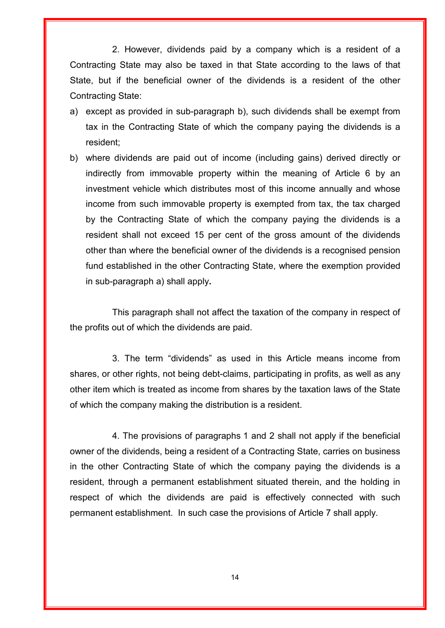2. However, dividends paid by a company which is a resident of a Contracting State may also be taxed in that State according to the laws of that State, but if the beneficial owner of the dividends is a resident of the other Contracting State:

- a) except as provided in sub-paragraph b), such dividends shall be exempt from tax in the Contracting State of which the company paying the dividends is a resident;
- b) where dividends are paid out of income (including gains) derived directly or indirectly from immovable property within the meaning of Article 6 by an investment vehicle which distributes most of this income annually and whose income from such immovable property is exempted from tax, the tax charged by the Contracting State of which the company paying the dividends is a resident shall not exceed 15 per cent of the gross amount of the dividends other than where the beneficial owner of the dividends is a recognised pension fund established in the other Contracting State, where the exemption provided in sub-paragraph a) shall apply**.**

This paragraph shall not affect the taxation of the company in respect of the profits out of which the dividends are paid.

3. The term "dividends" as used in this Article means income from shares, or other rights, not being debt-claims, participating in profits, as well as any other item which is treated as income from shares by the taxation laws of the State of which the company making the distribution is a resident.

4. The provisions of paragraphs 1 and 2 shall not apply if the beneficial owner of the dividends, being a resident of a Contracting State, carries on business in the other Contracting State of which the company paying the dividends is a resident, through a permanent establishment situated therein, and the holding in respect of which the dividends are paid is effectively connected with such permanent establishment. In such case the provisions of Article 7 shall apply.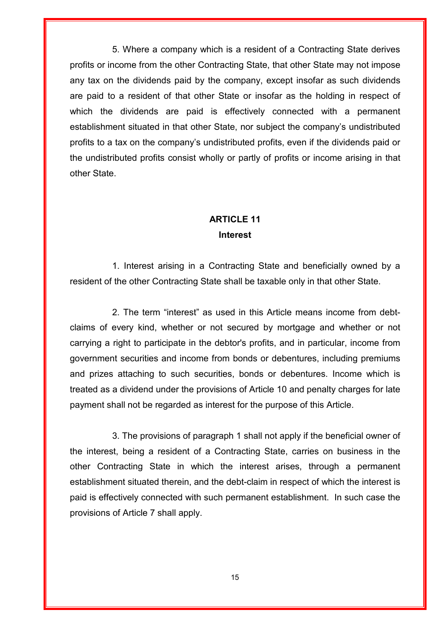5. Where a company which is a resident of a Contracting State derives profits or income from the other Contracting State, that other State may not impose any tax on the dividends paid by the company, except insofar as such dividends are paid to a resident of that other State or insofar as the holding in respect of which the dividends are paid is effectively connected with a permanent establishment situated in that other State, nor subject the company's undistributed profits to a tax on the company's undistributed profits, even if the dividends paid or the undistributed profits consist wholly or partly of profits or income arising in that other State.

# **ARTICLE 11 Interest**

1. Interest arising in a Contracting State and beneficially owned by a resident of the other Contracting State shall be taxable only in that other State.

2. The term "interest" as used in this Article means income from debtclaims of every kind, whether or not secured by mortgage and whether or not carrying a right to participate in the debtor's profits, and in particular, income from government securities and income from bonds or debentures, including premiums and prizes attaching to such securities, bonds or debentures. Income which is treated as a dividend under the provisions of Article 10 and penalty charges for late payment shall not be regarded as interest for the purpose of this Article.

3. The provisions of paragraph 1 shall not apply if the beneficial owner of the interest, being a resident of a Contracting State, carries on business in the other Contracting State in which the interest arises, through a permanent establishment situated therein, and the debt-claim in respect of which the interest is paid is effectively connected with such permanent establishment. In such case the provisions of Article 7 shall apply.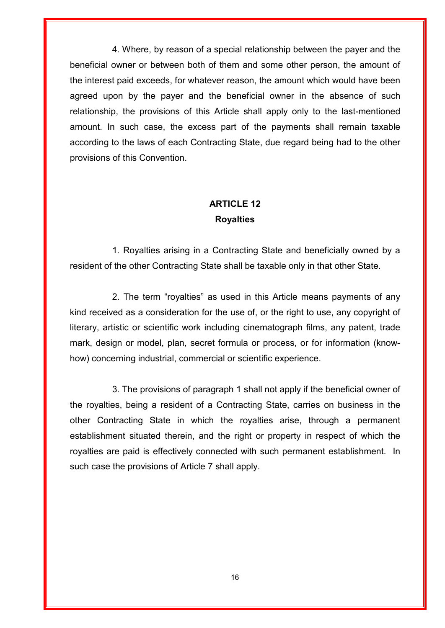4. Where, by reason of a special relationship between the payer and the beneficial owner or between both of them and some other person, the amount of the interest paid exceeds, for whatever reason, the amount which would have been agreed upon by the payer and the beneficial owner in the absence of such relationship, the provisions of this Article shall apply only to the last-mentioned amount. In such case, the excess part of the payments shall remain taxable according to the laws of each Contracting State, due regard being had to the other provisions of this Convention.

# **ARTICLE 12 Royalties**

1. Royalties arising in a Contracting State and beneficially owned by a resident of the other Contracting State shall be taxable only in that other State.

2. The term "royalties" as used in this Article means payments of any kind received as a consideration for the use of, or the right to use, any copyright of literary, artistic or scientific work including cinematograph films, any patent, trade mark, design or model, plan, secret formula or process, or for information (knowhow) concerning industrial, commercial or scientific experience.

3. The provisions of paragraph 1 shall not apply if the beneficial owner of the royalties, being a resident of a Contracting State, carries on business in the other Contracting State in which the royalties arise, through a permanent establishment situated therein, and the right or property in respect of which the royalties are paid is effectively connected with such permanent establishment. In such case the provisions of Article 7 shall apply.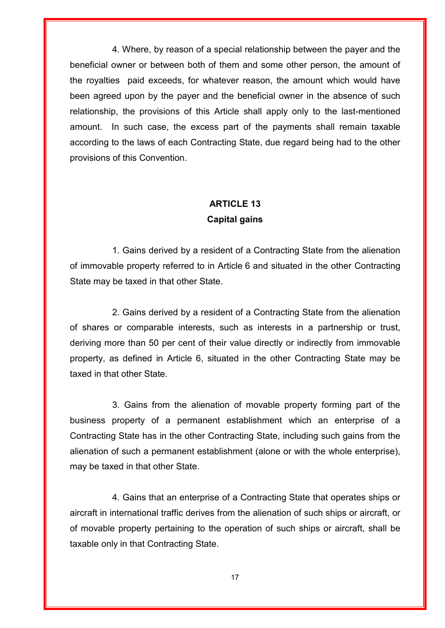4. Where, by reason of a special relationship between the payer and the beneficial owner or between both of them and some other person, the amount of the royalties paid exceeds, for whatever reason, the amount which would have been agreed upon by the payer and the beneficial owner in the absence of such relationship, the provisions of this Article shall apply only to the last-mentioned amount. In such case, the excess part of the payments shall remain taxable according to the laws of each Contracting State, due regard being had to the other provisions of this Convention.

## **ARTICLE 13 Capital gains**

1. Gains derived by a resident of a Contracting State from the alienation of immovable property referred to in Article 6 and situated in the other Contracting State may be taxed in that other State.

2. Gains derived by a resident of a Contracting State from the alienation of shares or comparable interests, such as interests in a partnership or trust, deriving more than 50 per cent of their value directly or indirectly from immovable property, as defined in Article 6, situated in the other Contracting State may be taxed in that other State.

3. Gains from the alienation of movable property forming part of the business property of a permanent establishment which an enterprise of a Contracting State has in the other Contracting State, including such gains from the alienation of such a permanent establishment (alone or with the whole enterprise), may be taxed in that other State.

4. Gains that an enterprise of a Contracting State that operates ships or aircraft in international traffic derives from the alienation of such ships or aircraft, or of movable property pertaining to the operation of such ships or aircraft, shall be taxable only in that Contracting State.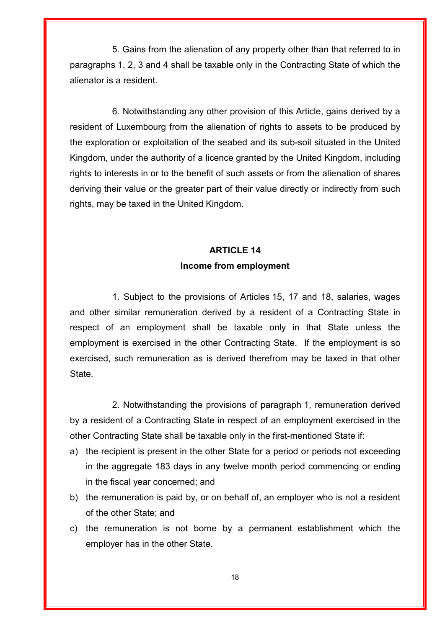5. Gains from the alienation of any property other than that referred to in paragraphs 1, 2, 3 and 4 shall be taxable only in the Contracting State of which the alienator is a resident.

6. Notwithstanding any other provision of this Article, gains derived by a resident of Luxembourg from the alienation of rights to assets to be produced by the exploration or exploitation of the seabed and its sub-soil situated in the United Kingdom, under the authority of a licence granted by the United Kingdom, including rights to interests in or to the benefit of such assets or from the alienation of shares deriving their value or the greater part of their value directly or indirectly from such rights, may be taxed in the United Kingdom.

# **ARTICLE 14 Income from employment**

1. Subject to the provisions of Articles 15, 17 and 18, salaries, wages and other similar remuneration derived by a resident of a Contracting State in respect of an employment shall be taxable only in that State unless the employment is exercised in the other Contracting State. If the employment is so exercised, such remuneration as is derived therefrom may be taxed in that other **State** 

2. Notwithstanding the provisions of paragraph 1, remuneration derived by a resident of a Contracting State in respect of an employment exercised in the other Contracting State shall be taxable only in the first-mentioned State if:

- a) the recipient is present in the other State for a period or periods not exceeding in the aggregate 183 days in any twelve month period commencing or ending in the fiscal year concerned; and
- b) the remuneration is paid by, or on behalf of, an employer who is not a resident of the other State; and
- c) the remuneration is not borne by a permanent establishment which the employer has in the other State.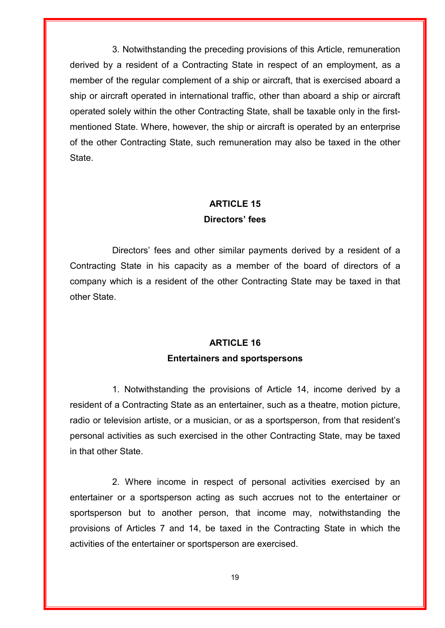3. Notwithstanding the preceding provisions of this Article, remuneration derived by a resident of a Contracting State in respect of an employment, as a member of the regular complement of a ship or aircraft, that is exercised aboard a ship or aircraft operated in international traffic, other than aboard a ship or aircraft operated solely within the other Contracting State, shall be taxable only in the firstmentioned State. Where, however, the ship or aircraft is operated by an enterprise of the other Contracting State, such remuneration may also be taxed in the other State.

### **ARTICLE 15**

### **Directors' fees**

Directors' fees and other similar payments derived by a resident of a Contracting State in his capacity as a member of the board of directors of a company which is a resident of the other Contracting State may be taxed in that other State.

# **ARTICLE 16 Entertainers and sportspersons**

1. Notwithstanding the provisions of Article 14, income derived by a resident of a Contracting State as an entertainer, such as a theatre, motion picture, radio or television artiste, or a musician, or as a sportsperson, from that resident's personal activities as such exercised in the other Contracting State, may be taxed in that other State.

2. Where income in respect of personal activities exercised by an entertainer or a sportsperson acting as such accrues not to the entertainer or sportsperson but to another person, that income may, notwithstanding the provisions of Articles 7 and 14, be taxed in the Contracting State in which the activities of the entertainer or sportsperson are exercised.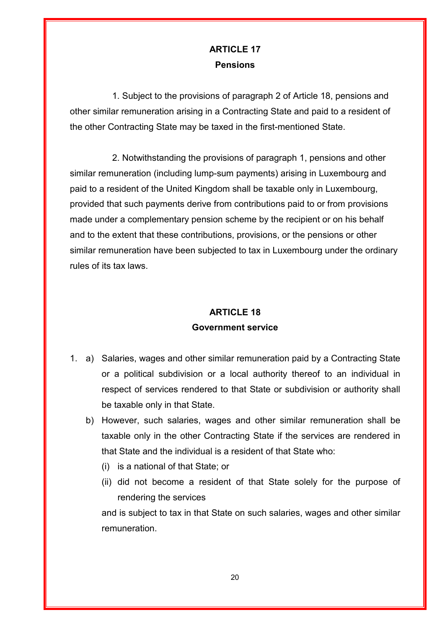# **ARTICLE 17 Pensions**

1. Subject to the provisions of paragraph 2 of Article 18, pensions and other similar remuneration arising in a Contracting State and paid to a resident of the other Contracting State may be taxed in the first-mentioned State.

2. Notwithstanding the provisions of paragraph 1, pensions and other similar remuneration (including lump-sum payments) arising in Luxembourg and paid to a resident of the United Kingdom shall be taxable only in Luxembourg, provided that such payments derive from contributions paid to or from provisions made under a complementary pension scheme by the recipient or on his behalf and to the extent that these contributions, provisions, or the pensions or other similar remuneration have been subjected to tax in Luxembourg under the ordinary rules of its tax laws.

# **ARTICLE 18 Government service**

- 1. a) Salaries, wages and other similar remuneration paid by a Contracting State or a political subdivision or a local authority thereof to an individual in respect of services rendered to that State or subdivision or authority shall be taxable only in that State.
	- b) However, such salaries, wages and other similar remuneration shall be taxable only in the other Contracting State if the services are rendered in that State and the individual is a resident of that State who:
		- (i) is a national of that State; or
		- (ii) did not become a resident of that State solely for the purpose of rendering the services

and is subject to tax in that State on such salaries, wages and other similar remuneration.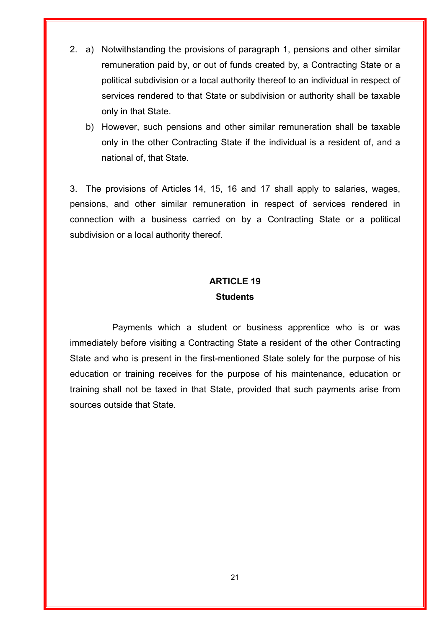- 2. a) Notwithstanding the provisions of paragraph 1, pensions and other similar remuneration paid by, or out of funds created by, a Contracting State or a political subdivision or a local authority thereof to an individual in respect of services rendered to that State or subdivision or authority shall be taxable only in that State.
	- b) However, such pensions and other similar remuneration shall be taxable only in the other Contracting State if the individual is a resident of, and a national of, that State.

3. The provisions of Articles 14, 15, 16 and 17 shall apply to salaries, wages, pensions, and other similar remuneration in respect of services rendered in connection with a business carried on by a Contracting State or a political subdivision or a local authority thereof.

# **ARTICLE 19 Students**

Payments which a student or business apprentice who is or was immediately before visiting a Contracting State a resident of the other Contracting State and who is present in the first-mentioned State solely for the purpose of his education or training receives for the purpose of his maintenance, education or training shall not be taxed in that State, provided that such payments arise from sources outside that State.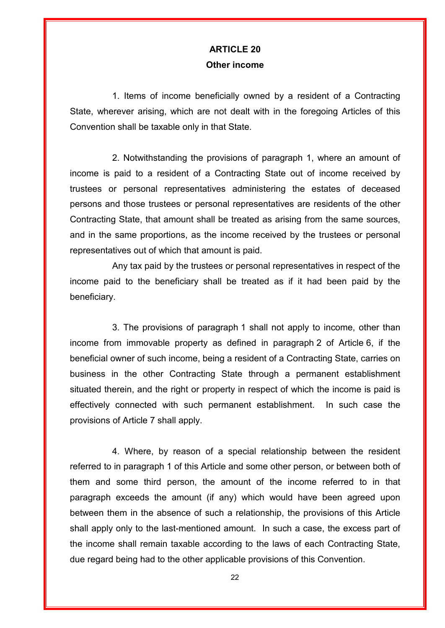### **Other income**

1. Items of income beneficially owned by a resident of a Contracting State, wherever arising, which are not dealt with in the foregoing Articles of this Convention shall be taxable only in that State.

2. Notwithstanding the provisions of paragraph 1, where an amount of income is paid to a resident of a Contracting State out of income received by trustees or personal representatives administering the estates of deceased persons and those trustees or personal representatives are residents of the other Contracting State, that amount shall be treated as arising from the same sources, and in the same proportions, as the income received by the trustees or personal representatives out of which that amount is paid.

Any tax paid by the trustees or personal representatives in respect of the income paid to the beneficiary shall be treated as if it had been paid by the beneficiary.

3. The provisions of paragraph 1 shall not apply to income, other than income from immovable property as defined in paragraph 2 of Article 6, if the beneficial owner of such income, being a resident of a Contracting State, carries on business in the other Contracting State through a permanent establishment situated therein, and the right or property in respect of which the income is paid is effectively connected with such permanent establishment. In such case the provisions of Article 7 shall apply.

4. Where, by reason of a special relationship between the resident referred to in paragraph 1 of this Article and some other person, or between both of them and some third person, the amount of the income referred to in that paragraph exceeds the amount (if any) which would have been agreed upon between them in the absence of such a relationship, the provisions of this Article shall apply only to the last-mentioned amount. In such a case, the excess part of the income shall remain taxable according to the laws of each Contracting State, due regard being had to the other applicable provisions of this Convention.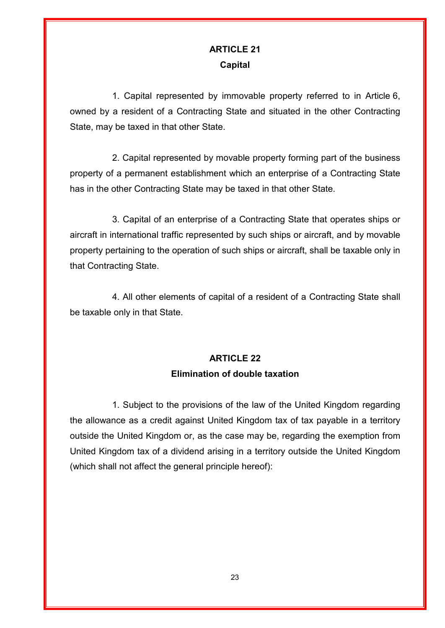# **ARTICLE 21 Capital**

1. Capital represented by immovable property referred to in Article 6, owned by a resident of a Contracting State and situated in the other Contracting State, may be taxed in that other State.

2. Capital represented by movable property forming part of the business property of a permanent establishment which an enterprise of a Contracting State has in the other Contracting State may be taxed in that other State.

3. Capital of an enterprise of a Contracting State that operates ships or aircraft in international traffic represented by such ships or aircraft, and by movable property pertaining to the operation of such ships or aircraft, shall be taxable only in that Contracting State.

4. All other elements of capital of a resident of a Contracting State shall be taxable only in that State.

# **ARTICLE 22 Elimination of double taxation**

1. Subject to the provisions of the law of the United Kingdom regarding the allowance as a credit against United Kingdom tax of tax payable in a territory outside the United Kingdom or, as the case may be, regarding the exemption from United Kingdom tax of a dividend arising in a territory outside the United Kingdom (which shall not affect the general principle hereof):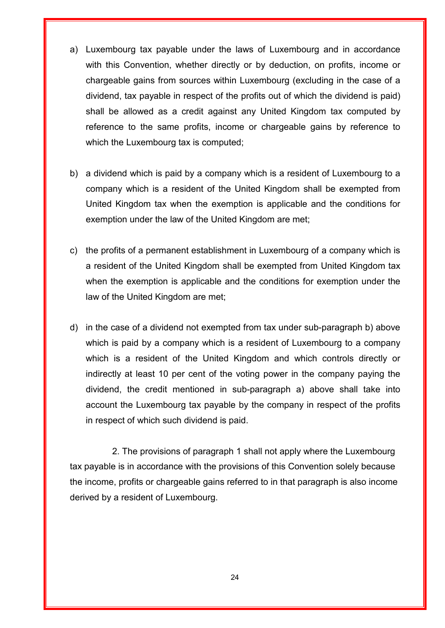- a) Luxembourg tax payable under the laws of Luxembourg and in accordance with this Convention, whether directly or by deduction, on profits, income or chargeable gains from sources within Luxembourg (excluding in the case of a dividend, tax payable in respect of the profits out of which the dividend is paid) shall be allowed as a credit against any United Kingdom tax computed by reference to the same profits, income or chargeable gains by reference to which the Luxembourg tax is computed;
- b) a dividend which is paid by a company which is a resident of Luxembourg to a company which is a resident of the United Kingdom shall be exempted from United Kingdom tax when the exemption is applicable and the conditions for exemption under the law of the United Kingdom are met;
- c) the profits of a permanent establishment in Luxembourg of a company which is a resident of the United Kingdom shall be exempted from United Kingdom tax when the exemption is applicable and the conditions for exemption under the law of the United Kingdom are met;
- d) in the case of a dividend not exempted from tax under sub-paragraph b) above which is paid by a company which is a resident of Luxembourg to a company which is a resident of the United Kingdom and which controls directly or indirectly at least 10 per cent of the voting power in the company paying the dividend, the credit mentioned in sub-paragraph a) above shall take into account the Luxembourg tax payable by the company in respect of the profits in respect of which such dividend is paid.

2. The provisions of paragraph 1 shall not apply where the Luxembourg tax payable is in accordance with the provisions of this Convention solely because the income, profits or chargeable gains referred to in that paragraph is also income derived by a resident of Luxembourg.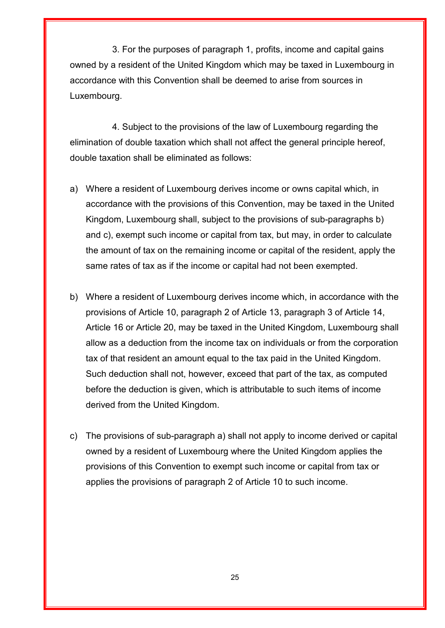3. For the purposes of paragraph 1, profits, income and capital gains owned by a resident of the United Kingdom which may be taxed in Luxembourg in accordance with this Convention shall be deemed to arise from sources in Luxembourg.

4. Subject to the provisions of the law of Luxembourg regarding the elimination of double taxation which shall not affect the general principle hereof, double taxation shall be eliminated as follows:

- a) Where a resident of Luxembourg derives income or owns capital which, in accordance with the provisions of this Convention, may be taxed in the United Kingdom, Luxembourg shall, subject to the provisions of sub-paragraphs b) and c), exempt such income or capital from tax, but may, in order to calculate the amount of tax on the remaining income or capital of the resident, apply the same rates of tax as if the income or capital had not been exempted.
- b) Where a resident of Luxembourg derives income which, in accordance with the provisions of Article 10, paragraph 2 of Article 13, paragraph 3 of Article 14, Article 16 or Article 20, may be taxed in the United Kingdom, Luxembourg shall allow as a deduction from the income tax on individuals or from the corporation tax of that resident an amount equal to the tax paid in the United Kingdom. Such deduction shall not, however, exceed that part of the tax, as computed before the deduction is given, which is attributable to such items of income derived from the United Kingdom.
- c) The provisions of sub-paragraph a) shall not apply to income derived or capital owned by a resident of Luxembourg where the United Kingdom applies the provisions of this Convention to exempt such income or capital from tax or applies the provisions of paragraph 2 of Article 10 to such income.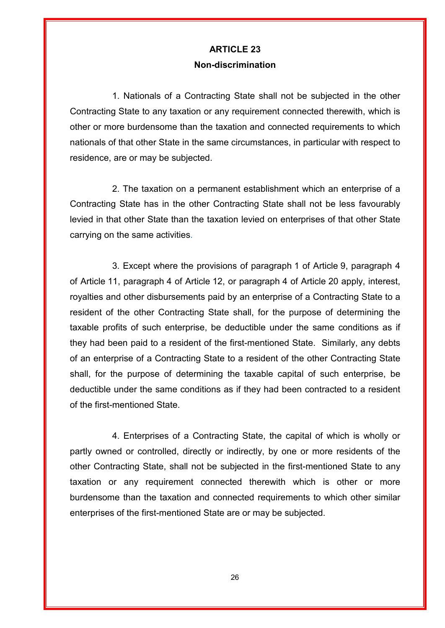### **Non-discrimination**

1. Nationals of a Contracting State shall not be subjected in the other Contracting State to any taxation or any requirement connected therewith, which is other or more burdensome than the taxation and connected requirements to which nationals of that other State in the same circumstances, in particular with respect to residence, are or may be subjected.

2. The taxation on a permanent establishment which an enterprise of a Contracting State has in the other Contracting State shall not be less favourably levied in that other State than the taxation levied on enterprises of that other State carrying on the same activities.

3. Except where the provisions of paragraph 1 of Article 9, paragraph 4 of Article 11, paragraph 4 of Article 12, or paragraph 4 of Article 20 apply, interest, royalties and other disbursements paid by an enterprise of a Contracting State to a resident of the other Contracting State shall, for the purpose of determining the taxable profits of such enterprise, be deductible under the same conditions as if they had been paid to a resident of the first-mentioned State. Similarly, any debts of an enterprise of a Contracting State to a resident of the other Contracting State shall, for the purpose of determining the taxable capital of such enterprise, be deductible under the same conditions as if they had been contracted to a resident of the first-mentioned State.

4. Enterprises of a Contracting State, the capital of which is wholly or partly owned or controlled, directly or indirectly, by one or more residents of the other Contracting State, shall not be subjected in the first-mentioned State to any taxation or any requirement connected therewith which is other or more burdensome than the taxation and connected requirements to which other similar enterprises of the first-mentioned State are or may be subjected.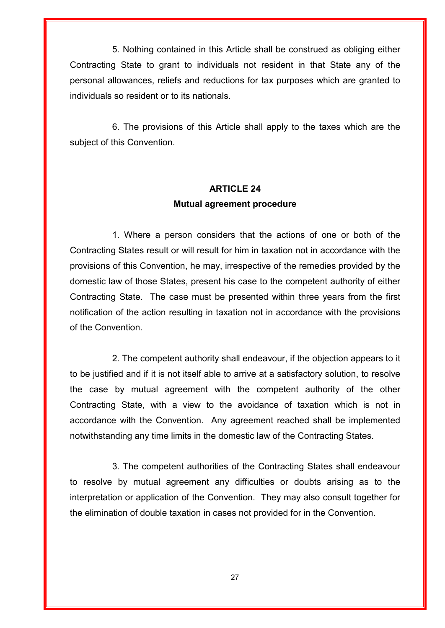5. Nothing contained in this Article shall be construed as obliging either Contracting State to grant to individuals not resident in that State any of the personal allowances, reliefs and reductions for tax purposes which are granted to individuals so resident or to its nationals.

6. The provisions of this Article shall apply to the taxes which are the subject of this Convention.

## **ARTICLE 24 Mutual agreement procedure**

1. Where a person considers that the actions of one or both of the Contracting States result or will result for him in taxation not in accordance with the provisions of this Convention, he may, irrespective of the remedies provided by the domestic law of those States, present his case to the competent authority of either Contracting State. The case must be presented within three years from the first notification of the action resulting in taxation not in accordance with the provisions of the Convention.

2. The competent authority shall endeavour, if the objection appears to it to be justified and if it is not itself able to arrive at a satisfactory solution, to resolve the case by mutual agreement with the competent authority of the other Contracting State, with a view to the avoidance of taxation which is not in accordance with the Convention. Any agreement reached shall be implemented notwithstanding any time limits in the domestic law of the Contracting States.

3. The competent authorities of the Contracting States shall endeavour to resolve by mutual agreement any difficulties or doubts arising as to the interpretation or application of the Convention. They may also consult together for the elimination of double taxation in cases not provided for in the Convention.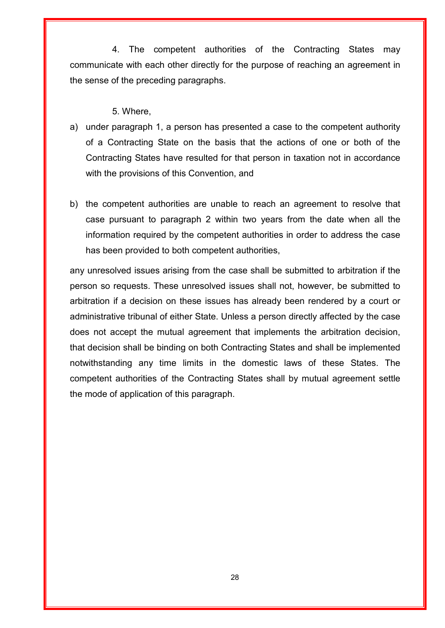4. The competent authorities of the Contracting States may communicate with each other directly for the purpose of reaching an agreement in the sense of the preceding paragraphs.

### 5. Where,

- a) under paragraph 1, a person has presented a case to the competent authority of a Contracting State on the basis that the actions of one or both of the Contracting States have resulted for that person in taxation not in accordance with the provisions of this Convention, and
- b) the competent authorities are unable to reach an agreement to resolve that case pursuant to paragraph 2 within two years from the date when all the information required by the competent authorities in order to address the case has been provided to both competent authorities,

any unresolved issues arising from the case shall be submitted to arbitration if the person so requests. These unresolved issues shall not, however, be submitted to arbitration if a decision on these issues has already been rendered by a court or administrative tribunal of either State. Unless a person directly affected by the case does not accept the mutual agreement that implements the arbitration decision, that decision shall be binding on both Contracting States and shall be implemented notwithstanding any time limits in the domestic laws of these States. The competent authorities of the Contracting States shall by mutual agreement settle the mode of application of this paragraph.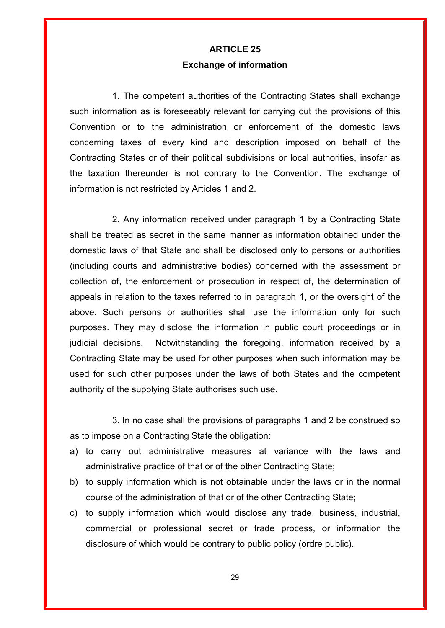### **Exchange of information**

1. The competent authorities of the Contracting States shall exchange such information as is foreseeably relevant for carrying out the provisions of this Convention or to the administration or enforcement of the domestic laws concerning taxes of every kind and description imposed on behalf of the Contracting States or of their political subdivisions or local authorities, insofar as the taxation thereunder is not contrary to the Convention. The exchange of information is not restricted by Articles 1 and 2.

2. Any information received under paragraph 1 by a Contracting State shall be treated as secret in the same manner as information obtained under the domestic laws of that State and shall be disclosed only to persons or authorities (including courts and administrative bodies) concerned with the assessment or collection of, the enforcement or prosecution in respect of, the determination of appeals in relation to the taxes referred to in paragraph 1, or the oversight of the above. Such persons or authorities shall use the information only for such purposes. They may disclose the information in public court proceedings or in judicial decisions. Notwithstanding the foregoing, information received by a Contracting State may be used for other purposes when such information may be used for such other purposes under the laws of both States and the competent authority of the supplying State authorises such use.

3. In no case shall the provisions of paragraphs 1 and 2 be construed so as to impose on a Contracting State the obligation:

- a) to carry out administrative measures at variance with the laws and administrative practice of that or of the other Contracting State;
- b) to supply information which is not obtainable under the laws or in the normal course of the administration of that or of the other Contracting State;
- c) to supply information which would disclose any trade, business, industrial, commercial or professional secret or trade process, or information the disclosure of which would be contrary to public policy (ordre public).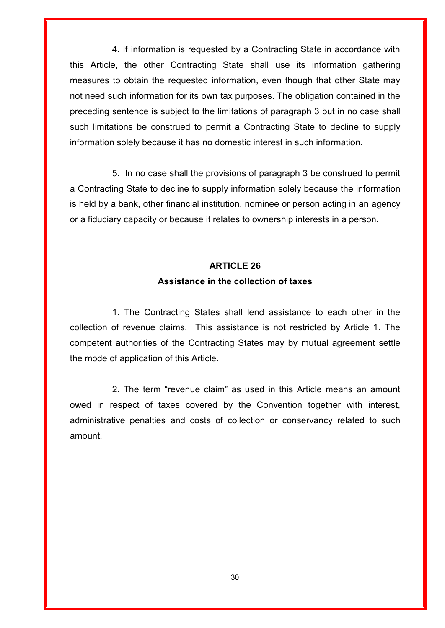4. If information is requested by a Contracting State in accordance with this Article, the other Contracting State shall use its information gathering measures to obtain the requested information, even though that other State may not need such information for its own tax purposes. The obligation contained in the preceding sentence is subject to the limitations of paragraph 3 but in no case shall such limitations be construed to permit a Contracting State to decline to supply information solely because it has no domestic interest in such information.

5. In no case shall the provisions of paragraph 3 be construed to permit a Contracting State to decline to supply information solely because the information is held by a bank, other financial institution, nominee or person acting in an agency or a fiduciary capacity or because it relates to ownership interests in a person.

### **ARTICLE 26**

### **Assistance in the collection of taxes**

1. The Contracting States shall lend assistance to each other in the collection of revenue claims. This assistance is not restricted by Article 1. The competent authorities of the Contracting States may by mutual agreement settle the mode of application of this Article.

2. The term "revenue claim" as used in this Article means an amount owed in respect of taxes covered by the Convention together with interest, administrative penalties and costs of collection or conservancy related to such amount.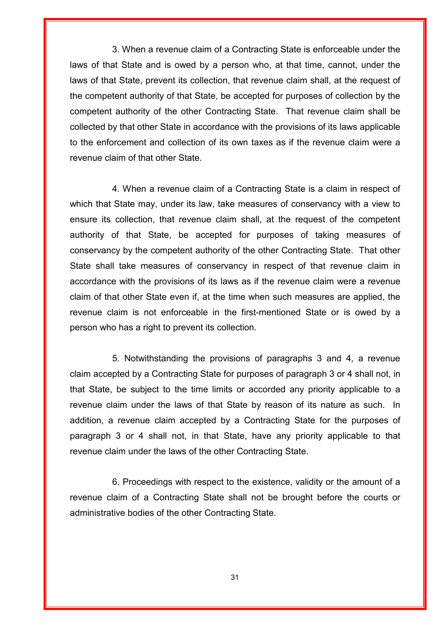3. When a revenue claim of a Contracting State is enforceable under the laws of that State and is owed by a person who, at that time, cannot, under the laws of that State, prevent its collection, that revenue claim shall, at the request of the competent authority of that State, be accepted for purposes of collection by the competent authority of the other Contracting State. That revenue claim shall be collected by that other State in accordance with the provisions of its laws applicable to the enforcement and collection of its own taxes as if the revenue claim were a revenue claim of that other State.

4. When a revenue claim of a Contracting State is a claim in respect of which that State may, under its law, take measures of conservancy with a view to ensure its collection, that revenue claim shall, at the request of the competent authority of that State, be accepted for purposes of taking measures of conservancy by the competent authority of the other Contracting State. That other State shall take measures of conservancy in respect of that revenue claim in accordance with the provisions of its laws as if the revenue claim were a revenue claim of that other State even if, at the time when such measures are applied, the revenue claim is not enforceable in the first-mentioned State or is owed by a person who has a right to prevent its collection.

5. Notwithstanding the provisions of paragraphs 3 and 4, a revenue claim accepted by a Contracting State for purposes of paragraph 3 or 4 shall not, in that State, be subject to the time limits or accorded any priority applicable to a revenue claim under the laws of that State by reason of its nature as such. In addition, a revenue claim accepted by a Contracting State for the purposes of paragraph 3 or 4 shall not, in that State, have any priority applicable to that revenue claim under the laws of the other Contracting State.

6. Proceedings with respect to the existence, validity or the amount of a revenue claim of a Contracting State shall not be brought before the courts or administrative bodies of the other Contracting State.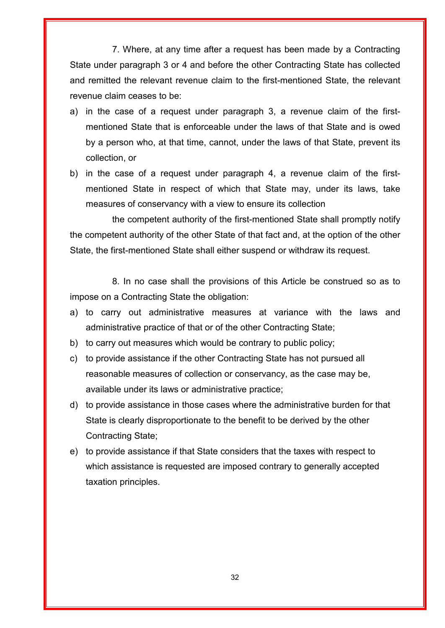7. Where, at any time after a request has been made by a Contracting State under paragraph 3 or 4 and before the other Contracting State has collected and remitted the relevant revenue claim to the first-mentioned State, the relevant revenue claim ceases to be:

- a) in the case of a request under paragraph 3, a revenue claim of the firstmentioned State that is enforceable under the laws of that State and is owed by a person who, at that time, cannot, under the laws of that State, prevent its collection, or
- b) in the case of a request under paragraph 4, a revenue claim of the firstmentioned State in respect of which that State may, under its laws, take measures of conservancy with a view to ensure its collection

the competent authority of the first-mentioned State shall promptly notify the competent authority of the other State of that fact and, at the option of the other State, the first-mentioned State shall either suspend or withdraw its request.

8. In no case shall the provisions of this Article be construed so as to impose on a Contracting State the obligation:

- a) to carry out administrative measures at variance with the laws and administrative practice of that or of the other Contracting State;
- b) to carry out measures which would be contrary to public policy;
- c) to provide assistance if the other Contracting State has not pursued all reasonable measures of collection or conservancy, as the case may be, available under its laws or administrative practice;
- d) to provide assistance in those cases where the administrative burden for that State is clearly disproportionate to the benefit to be derived by the other Contracting State;
- e) to provide assistance if that State considers that the taxes with respect to which assistance is requested are imposed contrary to generally accepted taxation principles.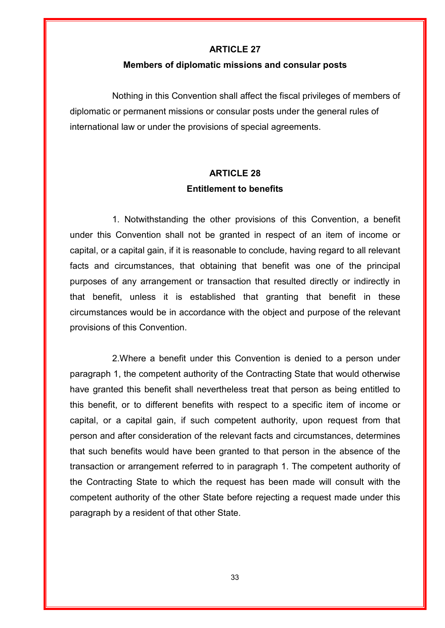### **Members of diplomatic missions and consular posts**

Nothing in this Convention shall affect the fiscal privileges of members of diplomatic or permanent missions or consular posts under the general rules of international law or under the provisions of special agreements.

# **ARTICLE 28 Entitlement to benefits**

1. Notwithstanding the other provisions of this Convention, a benefit under this Convention shall not be granted in respect of an item of income or capital, or a capital gain, if it is reasonable to conclude, having regard to all relevant facts and circumstances, that obtaining that benefit was one of the principal purposes of any arrangement or transaction that resulted directly or indirectly in that benefit, unless it is established that granting that benefit in these circumstances would be in accordance with the object and purpose of the relevant provisions of this Convention.

2.Where a benefit under this Convention is denied to a person under paragraph 1, the competent authority of the Contracting State that would otherwise have granted this benefit shall nevertheless treat that person as being entitled to this benefit, or to different benefits with respect to a specific item of income or capital, or a capital gain, if such competent authority, upon request from that person and after consideration of the relevant facts and circumstances, determines that such benefits would have been granted to that person in the absence of the transaction or arrangement referred to in paragraph 1. The competent authority of the Contracting State to which the request has been made will consult with the competent authority of the other State before rejecting a request made under this paragraph by a resident of that other State.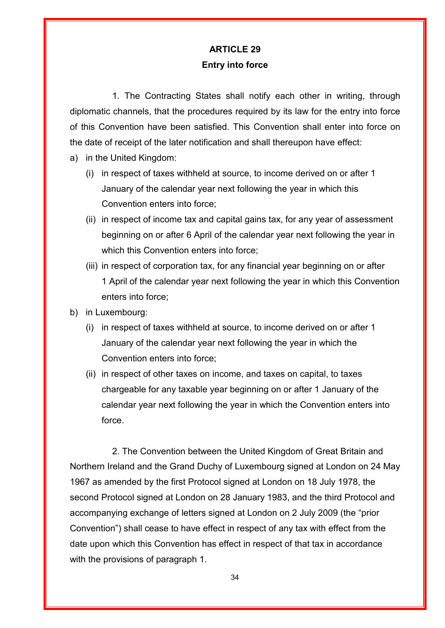### **Entry into force**

1. The Contracting States shall notify each other in writing, through diplomatic channels, that the procedures required by its law for the entry into force of this Convention have been satisfied. This Convention shall enter into force on the date of receipt of the later notification and shall thereupon have effect:

- a) in the United Kingdom:
	- (i) in respect of taxes withheld at source, to income derived on or after 1 January of the calendar year next following the year in which this Convention enters into force;
	- (ii) in respect of income tax and capital gains tax, for any year of assessment beginning on or after 6 April of the calendar year next following the year in which this Convention enters into force;
	- (iii) in respect of corporation tax, for any financial year beginning on or after 1 April of the calendar year next following the year in which this Convention enters into force;
- b) in Luxembourg:
	- (i) in respect of taxes withheld at source, to income derived on or after 1 January of the calendar year next following the year in which the Convention enters into force;
	- (ii) in respect of other taxes on income, and taxes on capital, to taxes chargeable for any taxable year beginning on or after 1 January of the calendar year next following the year in which the Convention enters into force.

2. The Convention between the United Kingdom of Great Britain and Northern Ireland and the Grand Duchy of Luxembourg signed at London on 24 May 1967 as amended by the first Protocol signed at London on 18 July 1978, the second Protocol signed at London on 28 January 1983, and the third Protocol and accompanying exchange of letters signed at London on 2 July 2009 (the "prior Convention") shall cease to have effect in respect of any tax with effect from the date upon which this Convention has effect in respect of that tax in accordance with the provisions of paragraph 1.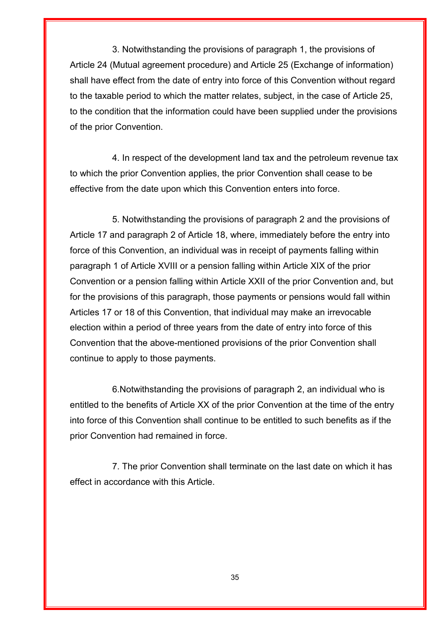3. Notwithstanding the provisions of paragraph 1, the provisions of Article 24 (Mutual agreement procedure) and Article 25 (Exchange of information) shall have effect from the date of entry into force of this Convention without regard to the taxable period to which the matter relates, subject, in the case of Article 25, to the condition that the information could have been supplied under the provisions of the prior Convention.

 4. In respect of the development land tax and the petroleum revenue tax to which the prior Convention applies, the prior Convention shall cease to be effective from the date upon which this Convention enters into force.

 5. Notwithstanding the provisions of paragraph 2 and the provisions of Article 17 and paragraph 2 of Article 18, where, immediately before the entry into force of this Convention, an individual was in receipt of payments falling within paragraph 1 of Article XVIII or a pension falling within Article XIX of the prior Convention or a pension falling within Article XXII of the prior Convention and, but for the provisions of this paragraph, those payments or pensions would fall within Articles 17 or 18 of this Convention, that individual may make an irrevocable election within a period of three years from the date of entry into force of this Convention that the above-mentioned provisions of the prior Convention shall continue to apply to those payments.

6.Notwithstanding the provisions of paragraph 2, an individual who is entitled to the benefits of Article XX of the prior Convention at the time of the entry into force of this Convention shall continue to be entitled to such benefits as if the prior Convention had remained in force.

7. The prior Convention shall terminate on the last date on which it has effect in accordance with this Article.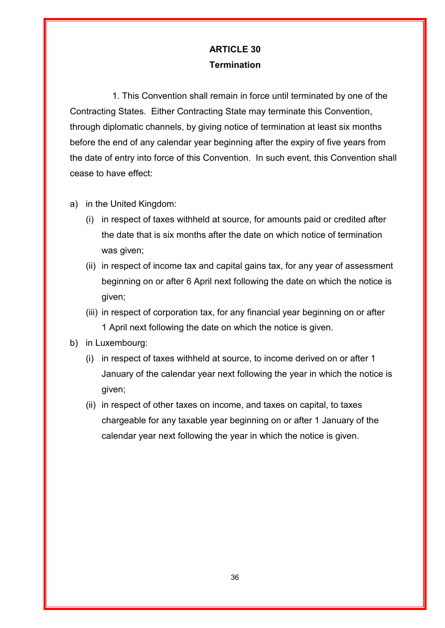### **ARTICLE 30 Termination**

1. This Convention shall remain in force until terminated by one of the Contracting States. Either Contracting State may terminate this Convention, through diplomatic channels, by giving notice of termination at least six months before the end of any calendar year beginning after the expiry of five years from the date of entry into force of this Convention. In such event, this Convention shall cease to have effect:

- a) in the United Kingdom:
	- (i) in respect of taxes withheld at source, for amounts paid or credited after the date that is six months after the date on which notice of termination was given;
	- (ii) in respect of income tax and capital gains tax, for any year of assessment beginning on or after 6 April next following the date on which the notice is given;
	- (iii) in respect of corporation tax, for any financial year beginning on or after 1 April next following the date on which the notice is given.
- b) in Luxembourg:
	- (i) in respect of taxes withheld at source, to income derived on or after 1 January of the calendar year next following the year in which the notice is given;
	- (ii) in respect of other taxes on income, and taxes on capital, to taxes chargeable for any taxable year beginning on or after 1 January of the calendar year next following the year in which the notice is given.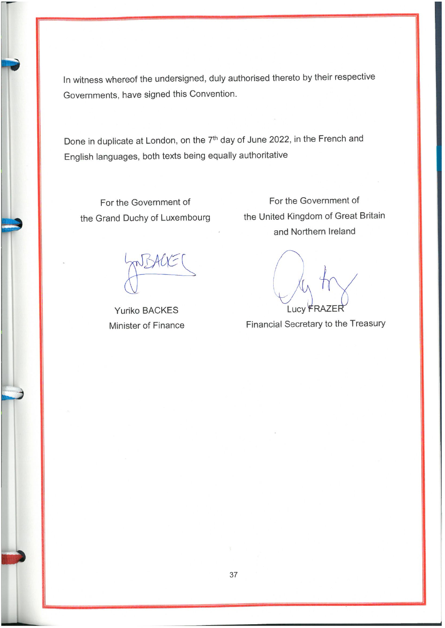In witness whereof the undersigned, duly authorised thereto by their respective Governments, have signed this Convention.

Done in duplicate at London, on the 7<sup>th</sup> day of June 2022, in the French and English languages, both texts being equally authoritative

For the Government of the Grand Duchy of Luxembourg

For the Government of the United Kingdom of Great Britain and Northern Ireland

Yuriko BACKES Minister of Finance

Lucy FR

Financial Secretary to the Treasury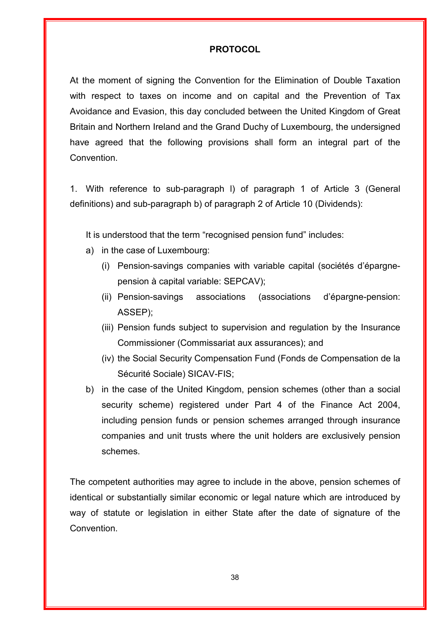### **PROTOCOL**

At the moment of signing the Convention for the Elimination of Double Taxation with respect to taxes on income and on capital and the Prevention of Tax Avoidance and Evasion, this day concluded between the United Kingdom of Great Britain and Northern Ireland and the Grand Duchy of Luxembourg, the undersigned have agreed that the following provisions shall form an integral part of the Convention.

1. With reference to sub-paragraph l) of paragraph 1 of Article 3 (General definitions) and sub-paragraph b) of paragraph 2 of Article 10 (Dividends):

It is understood that the term "recognised pension fund" includes:

- a) in the case of Luxembourg:
	- (i) Pension-savings companies with variable capital (sociétés d'épargnepension à capital variable: SEPCAV);
	- (ii) Pension-savings associations (associations d'épargne-pension: ASSEP);
	- (iii) Pension funds subject to supervision and regulation by the Insurance Commissioner (Commissariat aux assurances); and
	- (iv) the Social Security Compensation Fund (Fonds de Compensation de la Sécurité Sociale) SICAV-FIS;
- b) in the case of the United Kingdom, pension schemes (other than a social security scheme) registered under Part 4 of the Finance Act 2004, including pension funds or pension schemes arranged through insurance companies and unit trusts where the unit holders are exclusively pension schemes.

The competent authorities may agree to include in the above, pension schemes of identical or substantially similar economic or legal nature which are introduced by way of statute or legislation in either State after the date of signature of the **Convention**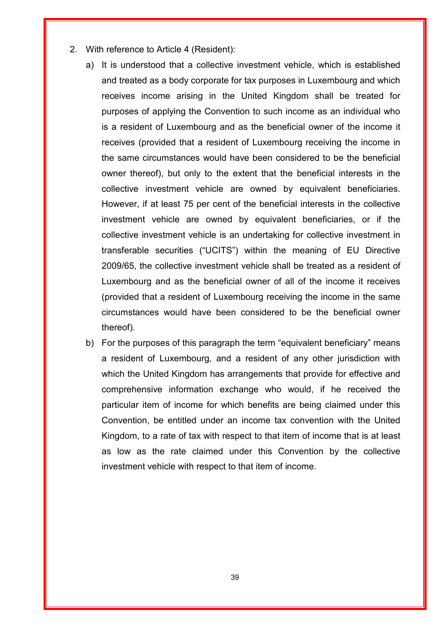- 2. With reference to Article 4 (Resident):
	- a) It is understood that a collective investment vehicle, which is established and treated as a body corporate for tax purposes in Luxembourg and which receives income arising in the United Kingdom shall be treated for purposes of applying the Convention to such income as an individual who is a resident of Luxembourg and as the beneficial owner of the income it receives (provided that a resident of Luxembourg receiving the income in the same circumstances would have been considered to be the beneficial owner thereof), but only to the extent that the beneficial interests in the collective investment vehicle are owned by equivalent beneficiaries. However, if at least 75 per cent of the beneficial interests in the collective investment vehicle are owned by equivalent beneficiaries, or if the collective investment vehicle is an undertaking for collective investment in transferable securities ("UCITS") within the meaning of EU Directive 2009/65, the collective investment vehicle shall be treated as a resident of Luxembourg and as the beneficial owner of all of the income it receives (provided that a resident of Luxembourg receiving the income in the same circumstances would have been considered to be the beneficial owner thereof).
	- b) For the purposes of this paragraph the term "equivalent beneficiary" means a resident of Luxembourg, and a resident of any other jurisdiction with which the United Kingdom has arrangements that provide for effective and comprehensive information exchange who would, if he received the particular item of income for which benefits are being claimed under this Convention, be entitled under an income tax convention with the United Kingdom, to a rate of tax with respect to that item of income that is at least as low as the rate claimed under this Convention by the collective investment vehicle with respect to that item of income.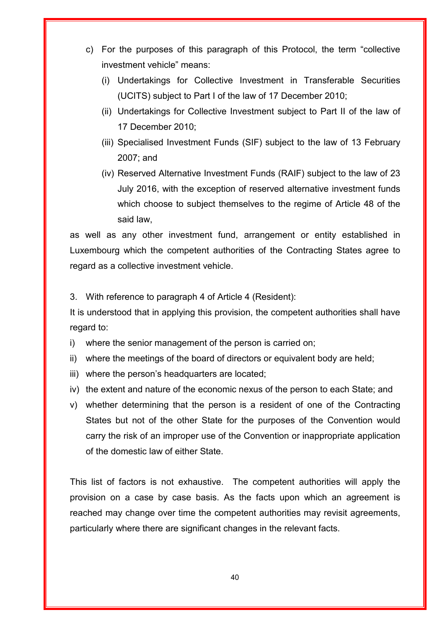- c) For the purposes of this paragraph of this Protocol, the term "collective investment vehicle" means:
	- (i) Undertakings for Collective Investment in Transferable Securities (UCITS) subject to Part I of the law of 17 December 2010;
	- (ii) Undertakings for Collective Investment subject to Part II of the law of 17 December 2010;
	- (iii) Specialised Investment Funds (SIF) subject to the law of 13 February 2007; and
	- (iv) Reserved Alternative Investment Funds (RAIF) subject to the law of 23 July 2016, with the exception of reserved alternative investment funds which choose to subject themselves to the regime of Article 48 of the said law,

as well as any other investment fund, arrangement or entity established in Luxembourg which the competent authorities of the Contracting States agree to regard as a collective investment vehicle.

3. With reference to paragraph 4 of Article 4 (Resident):

It is understood that in applying this provision, the competent authorities shall have regard to:

- i) where the senior management of the person is carried on;
- ii) where the meetings of the board of directors or equivalent body are held;
- iii) where the person's headquarters are located;
- iv) the extent and nature of the economic nexus of the person to each State; and
- v) whether determining that the person is a resident of one of the Contracting States but not of the other State for the purposes of the Convention would carry the risk of an improper use of the Convention or inappropriate application of the domestic law of either State.

This list of factors is not exhaustive. The competent authorities will apply the provision on a case by case basis. As the facts upon which an agreement is reached may change over time the competent authorities may revisit agreements, particularly where there are significant changes in the relevant facts.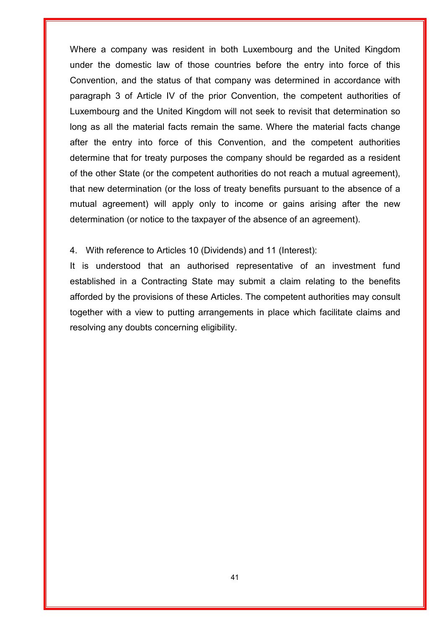Where a company was resident in both Luxembourg and the United Kingdom under the domestic law of those countries before the entry into force of this Convention, and the status of that company was determined in accordance with paragraph 3 of Article IV of the prior Convention, the competent authorities of Luxembourg and the United Kingdom will not seek to revisit that determination so long as all the material facts remain the same. Where the material facts change after the entry into force of this Convention, and the competent authorities determine that for treaty purposes the company should be regarded as a resident of the other State (or the competent authorities do not reach a mutual agreement), that new determination (or the loss of treaty benefits pursuant to the absence of a mutual agreement) will apply only to income or gains arising after the new determination (or notice to the taxpayer of the absence of an agreement).

4. With reference to Articles 10 (Dividends) and 11 (Interest):

It is understood that an authorised representative of an investment fund established in a Contracting State may submit a claim relating to the benefits afforded by the provisions of these Articles. The competent authorities may consult together with a view to putting arrangements in place which facilitate claims and resolving any doubts concerning eligibility.